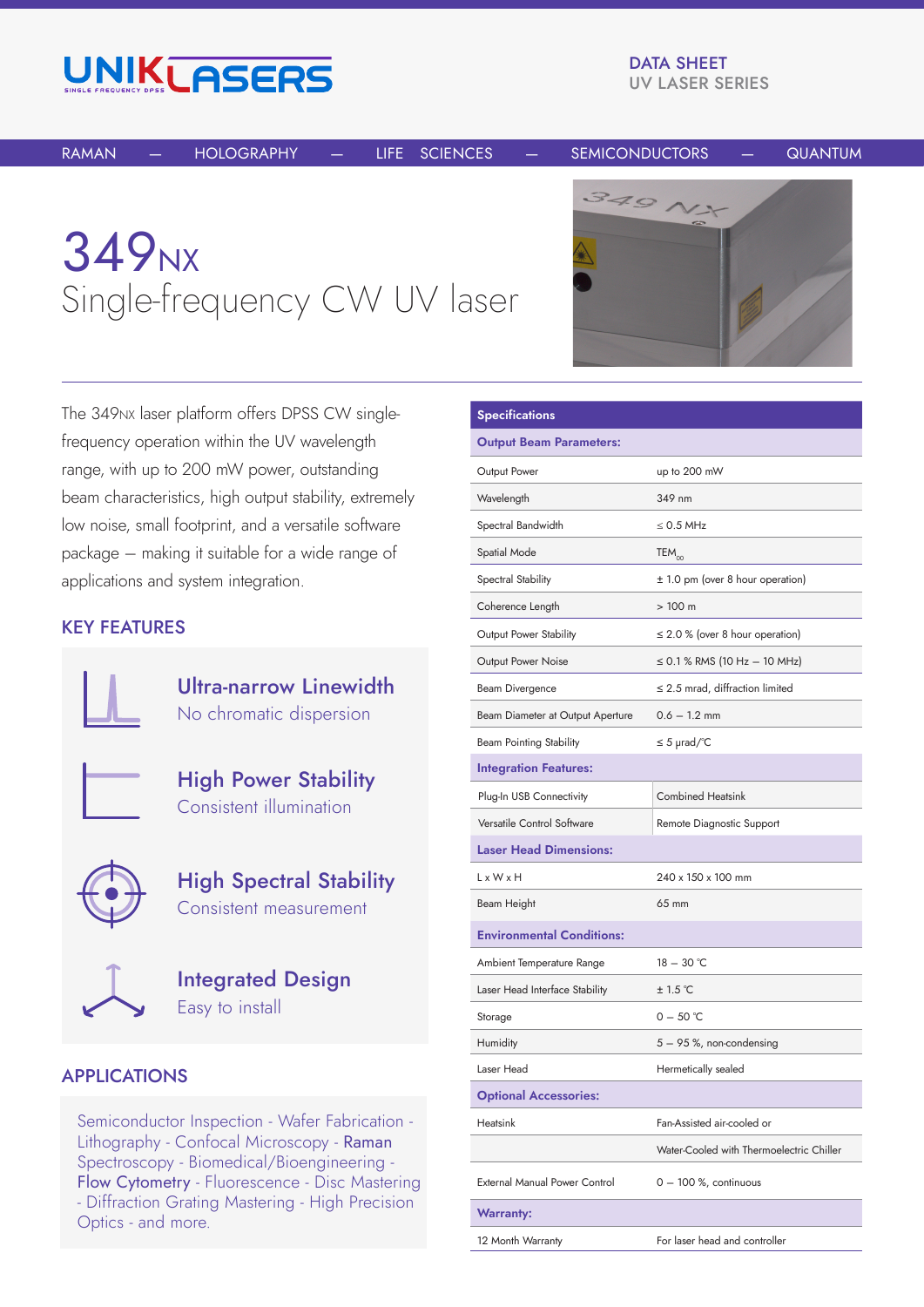

DATA SHEET UV LASER SERIES

RAMAN — HOLOGRAPHY — LIFE SCIENCES — SEMICONDUCTORS — QUANTUM

## 349<sub>NX</sub> Single-frequency CW UV laser



The 349NX laser platform offers DPSS CW singlefrequency operation within the UV wavelength range, with up to 200 mW power, outstanding beam characteristics, high output stability, extremely low noise, small footprint, and a versatile software package – making it suitable for a wide range of applications and system integration.

## KEY FEATURES



Ultra-narrow Linewidth No chromatic dispersion

High Power Stability Consistent illumination



High Spectral Stability Consistent measurement



Integrated Design Easy to install

## APPLICATIONS

Semiconductor Inspection - Wafer Fabrication - Lithography - Confocal Microscopy - Raman Spectroscopy - Biomedical/Bioengineering - Flow Cytometry - Fluorescence - Disc Mastering - Diffraction Grating Mastering - High Precision Optics - and more.

| <b>Specifications</b>                |                                          |  |  |
|--------------------------------------|------------------------------------------|--|--|
| <b>Output Beam Parameters:</b>       |                                          |  |  |
| Output Power                         | up to 200 mW                             |  |  |
| Wavelength                           | 349 nm                                   |  |  |
| Spectral Bandwidth                   | $\leq$ 0.5 MHz                           |  |  |
| Spatial Mode                         | $TEM_{00}$                               |  |  |
| Spectral Stability                   | ± 1.0 pm (over 8 hour operation)         |  |  |
| Coherence Length                     | >100 m                                   |  |  |
| <b>Output Power Stability</b>        | $\leq$ 2.0 % (over 8 hour operation)     |  |  |
| <b>Output Power Noise</b>            | $\leq$ 0.1 % RMS (10 Hz $-$ 10 MHz)      |  |  |
| <b>Beam Divergence</b>               | $\leq$ 2.5 mrad, diffraction limited     |  |  |
| Beam Diameter at Output Aperture     | $0.6 - 1.2$ mm                           |  |  |
| Beam Pointing Stability              | $\leq$ 5 µrad/°C                         |  |  |
| <b>Integration Features:</b>         |                                          |  |  |
| Plug-In USB Connectivity             | <b>Combined Heatsink</b>                 |  |  |
| Versatile Control Software           | Remote Diagnostic Support                |  |  |
| <b>Laser Head Dimensions:</b>        |                                          |  |  |
| $L \times W \times H$                | 240 x 150 x 100 mm                       |  |  |
| Beam Height                          | 65 mm                                    |  |  |
| <b>Environmental Conditions:</b>     |                                          |  |  |
| Ambient Temperature Range            | $18 - 30$ °C                             |  |  |
| Laser Head Interface Stability       | ± 1.5 °C                                 |  |  |
| Storage                              | $0 - 50$ °C                              |  |  |
| <b>Humidity</b>                      | 5 – 95 %, non-condensing                 |  |  |
| Laser Head                           | Hermetically sealed                      |  |  |
| <b>Optional Accessories:</b>         |                                          |  |  |
| Heatsink                             | Fan-Assisted air-cooled or               |  |  |
|                                      | Water-Cooled with Thermoelectric Chiller |  |  |
| <b>External Manual Power Control</b> | $0 - 100$ %, continuous                  |  |  |
| <b>Warranty:</b>                     |                                          |  |  |
| 12 Month Warranty                    | For laser head and controller            |  |  |